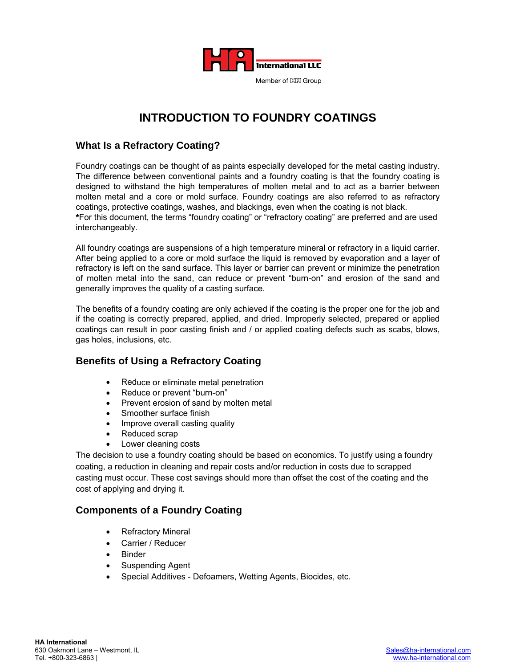

# **INTRODUCTION TO FOUNDRY COATINGS**

## **What Is a Refractory Coating?**

Foundry coatings can be thought of as paints especially developed for the metal casting industry. The difference between conventional paints and a foundry coating is that the foundry coating is designed to withstand the high temperatures of molten metal and to act as a barrier between molten metal and a core or mold surface. Foundry coatings are also referred to as refractory coatings, protective coatings, washes, and blackings, even when the coating is not black. **\***For this document, the terms "foundry coating" or "refractory coating" are preferred and are used interchangeably.

All foundry coatings are suspensions of a high temperature mineral or refractory in a liquid carrier. After being applied to a core or mold surface the liquid is removed by evaporation and a layer of refractory is left on the sand surface. This layer or barrier can prevent or minimize the penetration of molten metal into the sand, can reduce or prevent "burn-on" and erosion of the sand and generally improves the quality of a casting surface.

The benefits of a foundry coating are only achieved if the coating is the proper one for the job and if the coating is correctly prepared, applied, and dried. Improperly selected, prepared or applied coatings can result in poor casting finish and / or applied coating defects such as scabs, blows, gas holes, inclusions, etc.

# **Benefits of Using a Refractory Coating**

- Reduce or eliminate metal penetration
- Reduce or prevent "burn-on"
- Prevent erosion of sand by molten metal
- Smoother surface finish
- Improve overall casting quality
- Reduced scrap
- Lower cleaning costs

The decision to use a foundry coating should be based on economics. To justify using a foundry coating, a reduction in cleaning and repair costs and/or reduction in costs due to scrapped casting must occur. These cost savings should more than offset the cost of the coating and the cost of applying and drying it.

# **Components of a Foundry Coating**

- **Refractory Mineral**
- Carrier / Reducer
- **Binder**
- Suspending Agent
- Special Additives Defoamers, Wetting Agents, Biocides, etc.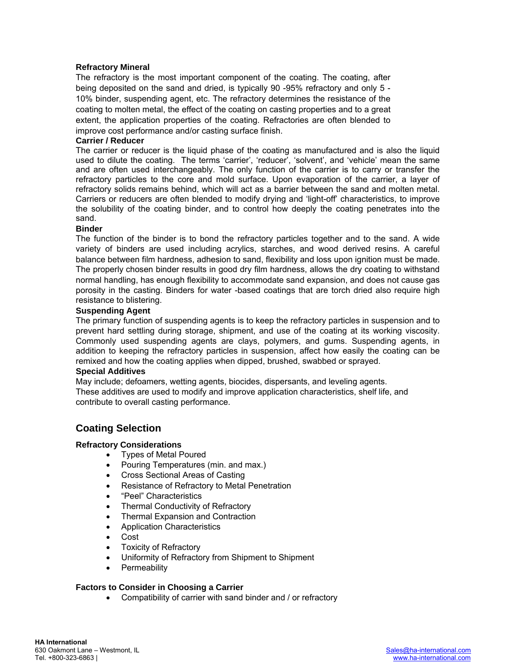#### **Refractory Mineral**

The refractory is the most important component of the coating. The coating, after being deposited on the sand and dried, is typically 90 -95% refractory and only 5 - 10% binder, suspending agent, etc. The refractory determines the resistance of the coating to molten metal, the effect of the coating on casting properties and to a great extent, the application properties of the coating. Refractories are often blended to improve cost performance and/or casting surface finish.

#### **Carrier / Reducer**

The carrier or reducer is the liquid phase of the coating as manufactured and is also the liquid used to dilute the coating. The terms 'carrier', 'reducer', 'solvent', and 'vehicle' mean the same and are often used interchangeably. The only function of the carrier is to carry or transfer the refractory particles to the core and mold surface. Upon evaporation of the carrier, a layer of refractory solids remains behind, which will act as a barrier between the sand and molten metal. Carriers or reducers are often blended to modify drying and 'light-off' characteristics, to improve the solubility of the coating binder, and to control how deeply the coating penetrates into the sand.

#### **Binder**

The function of the binder is to bond the refractory particles together and to the sand. A wide variety of binders are used including acrylics, starches, and wood derived resins. A careful balance between film hardness, adhesion to sand, flexibility and loss upon ignition must be made. The properly chosen binder results in good dry film hardness, allows the dry coating to withstand normal handling, has enough flexibility to accommodate sand expansion, and does not cause gas porosity in the casting. Binders for water -based coatings that are torch dried also require high resistance to blistering.

#### **Suspending Agent**

The primary function of suspending agents is to keep the refractory particles in suspension and to prevent hard settling during storage, shipment, and use of the coating at its working viscosity. Commonly used suspending agents are clays, polymers, and gums. Suspending agents, in addition to keeping the refractory particles in suspension, affect how easily the coating can be remixed and how the coating applies when dipped, brushed, swabbed or sprayed.

#### **Special Additives**

May include; defoamers, wetting agents, biocides, dispersants, and leveling agents. These additives are used to modify and improve application characteristics, shelf life, and contribute to overall casting performance.

### **Coating Selection**

#### **Refractory Considerations**

- Types of Metal Poured
- Pouring Temperatures (min. and max.)
- Cross Sectional Areas of Casting
- Resistance of Refractory to Metal Penetration
- "Peel" Characteristics
- Thermal Conductivity of Refractory
- Thermal Expansion and Contraction
- Application Characteristics
- Cost
- Toxicity of Refractory
- Uniformity of Refractory from Shipment to Shipment
- Permeability

#### **Factors to Consider in Choosing a Carrier**

• Compatibility of carrier with sand binder and / or refractory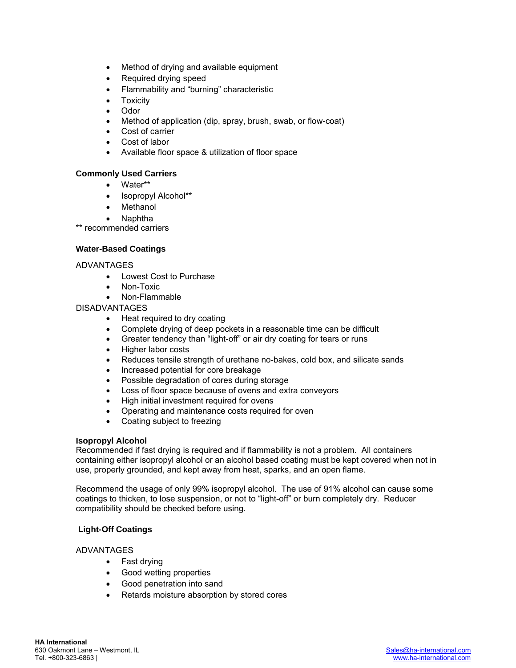- Method of drying and available equipment
- Required drying speed
- Flammability and "burning" characteristic
- Toxicity
- Odor
- Method of application (dip, spray, brush, swab, or flow-coat)
- Cost of carrier
- Cost of labor
- Available floor space & utilization of floor space

#### **Commonly Used Carriers**

- Water\*\*
- Isopropyl Alcohol\*\*
- **Methanol**
- Naphtha

\*\* recommended carriers

#### **Water-Based Coatings**

ADVANTAGES

- Lowest Cost to Purchase
- Non-Toxic
- Non-Flammable

#### DISADVANTAGES

- Heat required to dry coating
- Complete drying of deep pockets in a reasonable time can be difficult
- Greater tendency than "light-off" or air dry coating for tears or runs
- Higher labor costs
- Reduces tensile strength of urethane no-bakes, cold box, and silicate sands
- Increased potential for core breakage
- Possible degradation of cores during storage
- Loss of floor space because of ovens and extra conveyors
- High initial investment required for ovens
- Operating and maintenance costs required for oven
- Coating subject to freezing

#### **Isopropyl Alcohol**

Recommended if fast drying is required and if flammability is not a problem. All containers containing either isopropyl alcohol or an alcohol based coating must be kept covered when not in use, properly grounded, and kept away from heat, sparks, and an open flame.

Recommend the usage of only 99% isopropyl alcohol. The use of 91% alcohol can cause some coatings to thicken, to lose suspension, or not to "light-off" or burn completely dry. Reducer compatibility should be checked before using.

#### **Light-Off Coatings**

#### ADVANTAGES

- Fast drying
- Good wetting properties
- Good penetration into sand
- Retards moisture absorption by stored cores